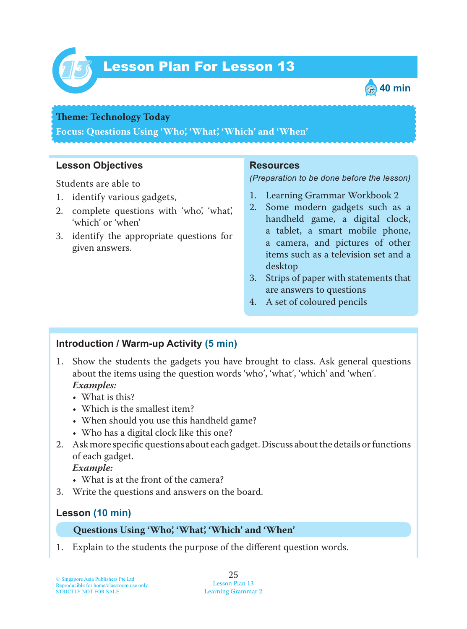

# Lesson Plan For Lesson 13 *13*



#### **Theme: Technology Today**

**Focus: Questions Using 'Who', 'What', 'Which' and 'When'**

#### **Lesson Objectives**

Students are able to

- 1. identify various gadgets,
- 2. complete questions with 'who', 'what', 'which' or 'when'
- 3. identify the appropriate questions for given answers.

#### **Resources**

*(Preparation to be done before the lesson)*

- 1. Learning Grammar Workbook 2
- 2. Some modern gadgets such as a handheld game, a digital clock, a tablet, a smart mobile phone, a camera, and pictures of other items such as a television set and a desktop
- 3. Strips of paper with statements that are answers to questions
- 4. A set of coloured pencils

## **Introduction / Warm-up Activity (5 min)**

- 1. Show the students the gadgets you have brought to class. Ask general questions about the items using the question words 'who', 'what', 'which' and 'when'.  *Examples:*
	- What is this?
	- Which is the smallest item?
	- When should you use this handheld game?
	- Who has a digital clock like this one?
- 2. Ask more specific questions about each gadget. Discuss about the details or functions of each gadget.

 *Example:*

- What is at the front of the camera?
- 3. Write the questions and answers on the board.

## **Lesson (10 min)**

#### **Questions Using 'Who', 'What', 'Which' and 'When'**

1. Explain to the students the purpose of the different question words.